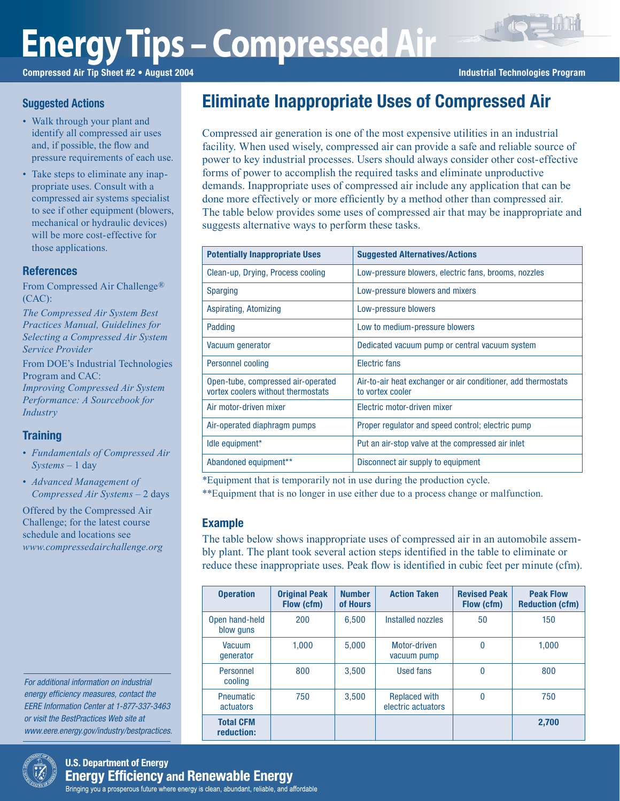# **Energy Tips – Compressed Air**

Compressed Air Tip Sheet #2 • August 2004 **Industrial Technologies Program** Industrial Technologies Program

## **Suggested Actions**

- Walk through your plant and identify all compressed air uses and, if possible, the flow and pressure requirements of each use.
- Take steps to eliminate any inappropriate uses. Consult with a compressed air systems specialist to see if other equipment (blowers, mechanical or hydraulic devices) will be more cost-effective for those applications.

### **References**

From Compressed Air Challenge® (CAC):

*The Compressed Air System Best Practices Manual, Guidelines for Selecting a Compressed Air System Service Provider*

From DOE's Industrial Technologies Program and CAC:

*Improving Compressed Air System Performance: A Sourcebook for Industry*

# **Training**

- *Fundamentals of Compressed Air Systems* – 1 day
- *Advanced Management of Compressed Air Systems* – 2 days

Offered by the Compressed Air Challenge; for the latest course schedule and locations see *www.compressedairchallenge.org*

For additional information on industrial energy efficiency measures, contact the EERE Information Center at 1-877-337-3463 or visit the BestPractices Web site at www.eere.energy.gov/industry/bestpractices.

# Eliminate Inappropriate Uses of Compressed Air

Compressed air generation is one of the most expensive utilities in an industrial facility. When used wisely, compressed air can provide a safe and reliable source of power to key industrial processes. Users should always consider other cost-effective forms of power to accomplish the required tasks and eliminate unproductive demands. Inappropriate uses of compressed air include any application that can be done more effectively or more efficiently by a method other than compressed air. The table below provides some uses of compressed air that may be inappropriate and suggests alternative ways to perform these tasks.

| <b>Potentially Inappropriate Uses</b>                                    | <b>Suggested Alternatives/Actions</b>                                             |
|--------------------------------------------------------------------------|-----------------------------------------------------------------------------------|
| Clean-up, Drying, Process cooling                                        | Low-pressure blowers, electric fans, brooms, nozzles                              |
| <b>Sparging</b>                                                          | Low-pressure blowers and mixers                                                   |
| Aspirating, Atomizing                                                    | Low-pressure blowers                                                              |
| Padding                                                                  | Low to medium-pressure blowers                                                    |
| Vacuum generator                                                         | Dedicated vacuum pump or central vacuum system                                    |
| <b>Personnel cooling</b>                                                 | Electric fans                                                                     |
| Open-tube, compressed air-operated<br>vortex coolers without thermostats | Air-to-air heat exchanger or air conditioner, add thermostats<br>to vortex cooler |
| Air motor-driven mixer                                                   | Flectric motor-driven mixer                                                       |
| Air-operated diaphragm pumps                                             | Proper regulator and speed control; electric pump                                 |
| Idle equipment*                                                          | Put an air-stop valve at the compressed air inlet                                 |
| Abandoned equipment**                                                    | Disconnect air supply to equipment                                                |

\*Equipment that is temporarily not in use during the production cycle.

\*\*Equipment that is no longer in use either due to a process change or malfunction.

### Example

The table below shows inappropriate uses of compressed air in an automobile assembly plant. The plant took several action steps identified in the table to eliminate or reduce these inappropriate uses. Peak flow is identified in cubic feet per minute (cfm).

| <b>Operation</b>               | <b>Original Peak</b><br>Flow (cfm) | <b>Number</b><br>of Hours | <b>Action Taken</b>                        | <b>Revised Peak</b><br>Flow (cfm) | <b>Peak Flow</b><br><b>Reduction (cfm)</b> |
|--------------------------------|------------------------------------|---------------------------|--------------------------------------------|-----------------------------------|--------------------------------------------|
| Open hand-held<br>blow guns    | 200                                | 6.500                     | Installed nozzles                          | 50                                | 150                                        |
| Vacuum<br>qenerator            | 1.000                              | 5.000                     | Motor-driven<br>vacuum pump                | 0                                 | 1.000                                      |
| Personnel<br>cooling           | 800                                | 3.500                     | Used fans                                  | 0                                 | 800                                        |
| <b>Pneumatic</b><br>actuators  | 750                                | 3.500                     | <b>Replaced with</b><br>electric actuators | 0                                 | 750                                        |
| <b>Total CFM</b><br>reduction: |                                    |                           |                                            |                                   | 2.700                                      |